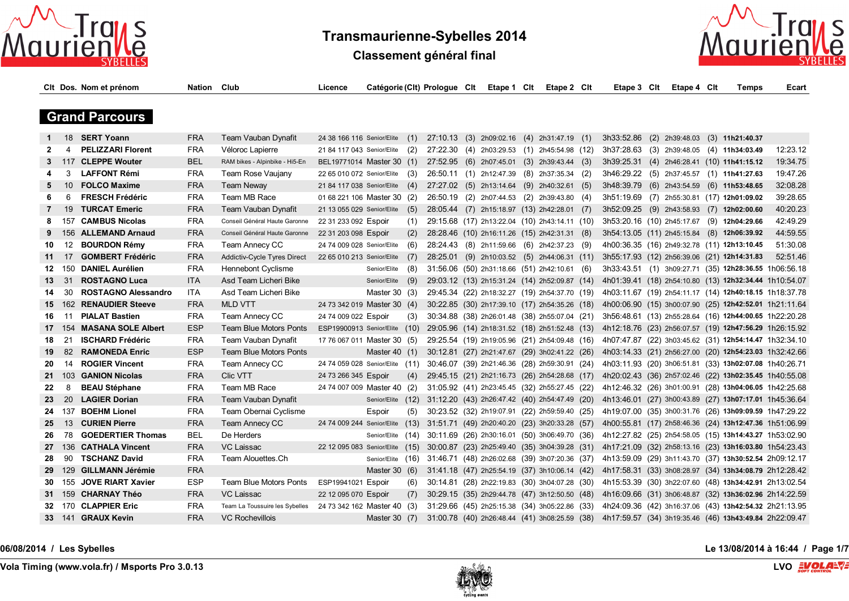

**Classement général final**



|                |                  | Cit Dos. Nom et prénom     | <b>Nation Club</b> |                                | Licence                         |                 |      | Catégorie (Clt) Prologue Clt | Etape 1 Clt | Etape 2 Cit                                   |       | Etape 3 Clt                                                                                          | Etape 4 Clt | <b>Temps</b>                   | Ecart                                                  |
|----------------|------------------|----------------------------|--------------------|--------------------------------|---------------------------------|-----------------|------|------------------------------|-------------|-----------------------------------------------|-------|------------------------------------------------------------------------------------------------------|-------------|--------------------------------|--------------------------------------------------------|
|                |                  |                            |                    |                                |                                 |                 |      |                              |             |                                               |       |                                                                                                      |             |                                |                                                        |
|                |                  | <b>Grand Parcours</b>      |                    |                                |                                 |                 |      |                              |             |                                               |       |                                                                                                      |             |                                |                                                        |
| 1              |                  | 18 SERT Yoann              | <b>FRA</b>         | Team Vauban Dynafit            | 24 38 166 116 Senior/Elite      |                 | (1)  |                              |             | 27:10.13 (3) 2h09:02.16 (4) 2h31:47.19 (1)    |       | 3h33:52.86                                                                                           |             | (2) 2h39:48.03 (3) 11h21:40.37 |                                                        |
| $\mathbf{2}$   | 4                | <b>PELIZZARI Florent</b>   | <b>FRA</b>         | Véloroc Lapierre               | 21 84 117 043 Senior/Elite      |                 | (2)  |                              |             | 27:22.30 (4) 2h03:29.53 (1) 2h45:54.98 (12)   |       | 3h37:28.63 (3) 2h39:48.05 (4) 11h34:03.49                                                            |             |                                | 12:23.12                                               |
| 3              |                  | 117 CLEPPE Wouter          | <b>BEL</b>         | RAM bikes - Alpinbike - Hi5-En | BEL19771014 Master 30 (1)       |                 |      |                              |             | 27:52.95 (6) 2h07:45.01 (3) 2h39:43.44 (3)    |       | 3h39:25.31 (4) 2h46:28.41 (10) 11h41:15.12                                                           |             |                                | 19:34.75                                               |
| 4              | 3                | <b>LAFFONT Rémi</b>        | <b>FRA</b>         | Team Rose Vaujany              | 22 65 010 072 Senior/Elite      |                 | (3)  |                              |             | 26:50.11 (1) 2h12:47.39 (8) 2h37:35.34 (2)    |       | 3h46:29.22 (5) 2h37:45.57 (1) 11h41:27.63                                                            |             |                                | 19:47.26                                               |
| 5              | 10               | <b>FOLCO Maxime</b>        | <b>FRA</b>         | <b>Team Neway</b>              | 21 84 117 038 Senior/Elite      |                 | (4)  |                              |             | 27:27.02 (5) 2h13:14.64 (9) 2h40:32.61 (5)    |       | 3h48:39.79 (6) 2h43:54.59                                                                            |             | $(6)$ 11h53:48.65              | 32:08.28                                               |
| 6              | 6                | <b>FRESCH Frédéric</b>     | <b>FRA</b>         | Team MB Race                   | 01 68 221 106 Master 30 (2)     |                 |      |                              |             | 26:50.19 (2) 2h07:44.53 (2) 2h39:43.80        | (4)   | 3h51:19.69 (7) 2h55:30.81 (17) 12h01:09.02                                                           |             |                                | 39:28.65                                               |
| $\overline{7}$ | 19               | <b>TURCAT Emeric</b>       | <b>FRA</b>         | Team Vauban Dynafit            | 21 13 055 029 Senior/Elite      |                 | (5)  |                              |             | 28:05.44 (7) 2h15:18.97 (13) 2h42:28.01 (7)   |       | 3h52:09.25 (9) 2h43:58.93 (7) 12h02:00.60                                                            |             |                                | 40:20.23                                               |
| 8              | 157              | <b>CAMBUS Nicolas</b>      | <b>FRA</b>         | Conseil Général Haute Garonne  | 22 31 233 092 Espoir            |                 | (1)  |                              |             | 29:15.68 (17) 2h13:22.04 (10) 2h43:14.11 (10) |       | 3h53:20.16 (10) 2h45:17.67                                                                           |             | (9) 12h04:29.66                | 42:49.29                                               |
| 9              | 156              | <b>ALLEMAND Arnaud</b>     | <b>FRA</b>         | Conseil Général Haute Garonne  | 22 31 203 098 Espoir            |                 | (2)  |                              |             | 28:28.46 (10) 2h16:11.26 (15) 2h42:31.31 (8)  |       | 3h54:13.05 (11) 2h45:15.84 (8) 12h06:39.92                                                           |             |                                | 44:59.55                                               |
| 10             | 12               | <b>BOURDON Rémy</b>        | <b>FRA</b>         | Team Annecy CC                 | 24 74 009 028 Senior/Elite      |                 | (6)  |                              |             | 28:24.43 (8) 2h11:59.66 (6) 2h42:37.23 (9)    |       | 4h00:36.35 (16) 2h49:32.78 (11) 12h13:10.45                                                          |             |                                | 51:30.08                                               |
| 11             | 17               | <b>GOMBERT Frédéric</b>    | <b>FRA</b>         | Addictiv-Cycle Tyres Direct    | 22 65 010 213 Senior/Elite      |                 | (7)  | 28:25.01                     |             | $(9)$ 2h10:03.52 $(5)$ 2h44:06.31 $(11)$      |       | 3h55:17.93 (12) 2h56:39.06 (21) 12h14:31.83                                                          |             |                                | 52:51.46                                               |
| 12             | 150              | <b>DANIEL Aurélien</b>     | <b>FRA</b>         | <b>Hennebont Cyclisme</b>      |                                 | Senior/Elite    | (8)  |                              |             | 31:56.06 (50) 2h31:18.66 (51) 2h42:10.61      | - (6) |                                                                                                      |             |                                | 3h33:43.51 (1) 3h09:27.71 (35) 12h28:36.55 1h06:56.18  |
| 13             | 31               | <b>ROSTAGNO Luca</b>       | ITA                | Asd Team Licheri Bike          |                                 | Senior/Elite    | (9)  |                              |             | 29:03.12 (13) 2h15:31.24 (14) 2h52:09.87 (14) |       |                                                                                                      |             |                                | 4h01:39.41 (18) 2h54:10.80 (13) 12h32:34.44 1h10:54.07 |
| 14             | 30               | <b>ROSTAGNO Alessandro</b> | <b>ITA</b>         | Asd Team Licheri Bike          |                                 | Master $30(3)$  |      |                              |             | 29:45.34 (22) 2h18:32.27 (19) 2h54:37.70 (19) |       |                                                                                                      |             |                                | 4h03:11.67 (19) 2h54:11.17 (14) 12h40:18.15 1h18:37.78 |
| 15             |                  | 162 RENAUDIER Steeve       | <b>FRA</b>         | <b>MLD VTT</b>                 | 24 73 342 019 Master 30 (4)     |                 |      |                              |             | 30:22.85 (30) 2h17:39.10 (17) 2h54:35.26 (18) |       |                                                                                                      |             |                                | 4h00:06.90 (15) 3h00:07.90 (25) 12h42:52.01 1h21:11.64 |
| 16             | 11               | <b>PIALAT Bastien</b>      | <b>FRA</b>         | Team Annecy CC                 | 24 74 009 022 Espoir            |                 | (3)  |                              |             | 30:34.88 (38) 2h26:01.48 (38) 2h55:07.04 (21) |       |                                                                                                      |             |                                | 3h56:48.61 (13) 2h55:28.64 (16) 12h44:00.65 1h22:20.28 |
| 17             |                  | 154 MASANA SOLE Albert     | <b>ESP</b>         | <b>Team Blue Motors Ponts</b>  | ESP19900913 Senior/Elite (10)   |                 |      |                              |             | 29:05.96 (14) 2h18:31.52 (18) 2h51:52.48 (13) |       | 4h12:18.76 (23) 2h56:07.57 (19) 12h47:56.29 1h26:15.92                                               |             |                                |                                                        |
| 18             | 21               | <b>ISCHARD Frédéric</b>    | <b>FRA</b>         | Team Vauban Dynafit            | 17 76 067 011 Master 30 (5)     |                 |      |                              |             | 29:25.54 (19) 2h19:05.96 (21) 2h54:09.48 (16) |       | 4h07:47.87 (22) 3h03:45.62 (31) 12h54:14.47 1h32:34.10                                               |             |                                |                                                        |
| 19             | 82               | <b>RAMONEDA Enric</b>      | <b>ESP</b>         | <b>Team Blue Motors Ponts</b>  |                                 | Master 40 $(1)$ |      |                              |             | 30:12.81 (27) 2h21:47.67 (29) 3h02:41.22 (26) |       | 4h03:14.33 (21) 2h56:27.00 (20) 12h54:23.03 1h32:42.66                                               |             |                                |                                                        |
| 20             | 14               | <b>ROGIER Vincent</b>      | <b>FRA</b>         | Team Annecy CC                 | 24 74 059 028 Senior/Elite (11) |                 |      |                              |             | 30:46.07 (39) 2h21:46.36 (28) 2h59:30.91 (24) |       | 4h03:11.93 (20) 3h06:51.81 (33) 13h02:07.08 1h40:26.71                                               |             |                                |                                                        |
| 21             | 103              | <b>GANION Nicolas</b>      | <b>FRA</b>         | <b>Clic VTT</b>                | 24 73 266 345 Espoir            |                 | (4)  |                              |             | 29:45.15 (21) 2h21:16.73 (26) 2h54:28.68 (17) |       | 4h20:02.43 (36) 2h57:02.46 (22) 13h02:35.45 1h40:55.08                                               |             |                                |                                                        |
| 22             | 8                | <b>BEAU Stéphane</b>       | <b>FRA</b>         | Team MB Race                   | 24 74 007 009 Master 40 (2)     |                 |      |                              |             | 31:05.92 (41) 2h23:45.45 (32) 2h55:27.45 (22) |       | 4h12:46.32 (26) 3h01:00.91 (28) 13h04:06.05 1h42:25.68                                               |             |                                |                                                        |
| 23             | 20               | <b>LAGIER Dorian</b>       | <b>FRA</b>         | Team Vauban Dynafit            |                                 | Senior/Elite    | (12) |                              |             | 31:12.20 (43) 2h26:47.42 (40) 2h54:47.49 (20) |       | 4h13:46.01 (27) 3h00:43.89 (27) 13h07:17.01 1h45:36.64                                               |             |                                |                                                        |
| 24             | 137              | <b>BOEHM Lionel</b>        | <b>FRA</b>         | Team Obernai Cyclisme          |                                 | Espoir          | (5)  |                              |             | 30:23.52 (32) 2h19:07.91 (22) 2h59:59.40 (25) |       | 4h19:07.00 (35) 3h00:31.76 (26) 13h09:09.59 1h47:29.22                                               |             |                                |                                                        |
| 25             | 13 <sup>13</sup> | <b>CURIEN Pierre</b>       | <b>FRA</b>         | Team Annecy CC                 | 24 74 009 244 Senior/Elite      |                 | (13) |                              |             | 31:51.71 (49) 2h20:40.20 (23) 3h20:33.28 (57) |       | 4h00:55.81 (17) 2h58:46.36 (24) 13h12:47.36 1h51:06.99                                               |             |                                |                                                        |
| 26             | 78               | <b>GOEDERTIER Thomas</b>   | <b>BEL</b>         | De Herders                     |                                 | Senior/Elite    | (14) |                              |             | 30:11.69 (26) 2h30:16.01 (50) 3h06:49.70 (36) |       | 4h12:27.82 (25) 2h54:58.05 (15) 13h14:43.27 1h53:02.90                                               |             |                                |                                                        |
| 27             |                  | 136 CATHALA Vincent        | <b>FRA</b>         | VC Laissac                     | 22 12 095 083 Senior/Elite      |                 | (15) |                              |             | 30:00.87 (23) 2h25:49.40 (35) 3h04:39.28 (31) |       | 4h17:21.09 (32) 2h58:13.16 (23) 13h16:03.80 1h54:23.43                                               |             |                                |                                                        |
| 28             | 90               | <b>TSCHANZ David</b>       | <b>FRA</b>         | Team Alouettes.Ch              |                                 | Senior/Elite    | (16) |                              |             | 31:46.71 (48) 2h26:02.68 (39) 3h07:20.36 (37) |       | 4h13:59.09 (29) 3h11:43.70 (37) 13h30:52.54 2h09:12.17                                               |             |                                |                                                        |
| 29             |                  | 129 GILLMANN Jérémie       | <b>FRA</b>         |                                |                                 | Master 30 (6)   |      |                              |             | 31:41.18 (47) 2h25:54.19 (37) 3h10:06.14 (42) |       | 4h17:58.31 (33) 3h08:28.97 (34) 13h34:08.79 2h12:28.42                                               |             |                                |                                                        |
| 30             |                  | 155 JOVE RIART Xavier      | ESP                | Team Blue Motors Ponts         | ESP19941021 Espoir              |                 | (6)  |                              |             | 30:14.81 (28) 2h22:19.83 (30) 3h04:07.28 (30) |       | 4h15:53.39 (30) 3h22:07.60 (48) 13h34:42.91 2h13:02.54                                               |             |                                |                                                        |
| 31.            |                  | 159 CHARNAY Théo           | <b>FRA</b>         | VC Laissac                     | 22 12 095 070 Espoir            |                 | (7)  |                              |             | 30:29.15 (35) 2h29:44.78 (47) 3h12:50.50 (48) |       | 4h16:09.66 (31) 3h06:48.87 (32) 13h36:02.96 2h14:22.59                                               |             |                                |                                                        |
| 32             |                  | 170 CLAPPIER Eric          | <b>FRA</b>         | Team La Toussuire les Sybelles | 24 73 342 162 Master 40 (3)     |                 |      |                              |             | 31:29.66 (45) 2h25:15.38 (34) 3h05:22.86 (33) |       | 4h24:09.36 (42) 3h16:37.06 (43) 13h42:54.32 2h21:13.95                                               |             |                                |                                                        |
| 33             |                  | 141 GRAUX Kevin            | <b>FRA</b>         | <b>VC Rochevillois</b>         |                                 | Master 30 $(7)$ |      |                              |             |                                               |       | 31:00.78 (40) 2h26:48.44 (41) 3h08:25.59 (38) 4h17:59.57 (34) 3h19:35.46 (46) 13h43:49.84 2h22:09.47 |             |                                |                                                        |
|                |                  |                            |                    |                                |                                 |                 |      |                              |             |                                               |       |                                                                                                      |             |                                |                                                        |

**06/08/2014 / Les Sybelles Le 13/08/2014 à 16:44 / Page 1/7**

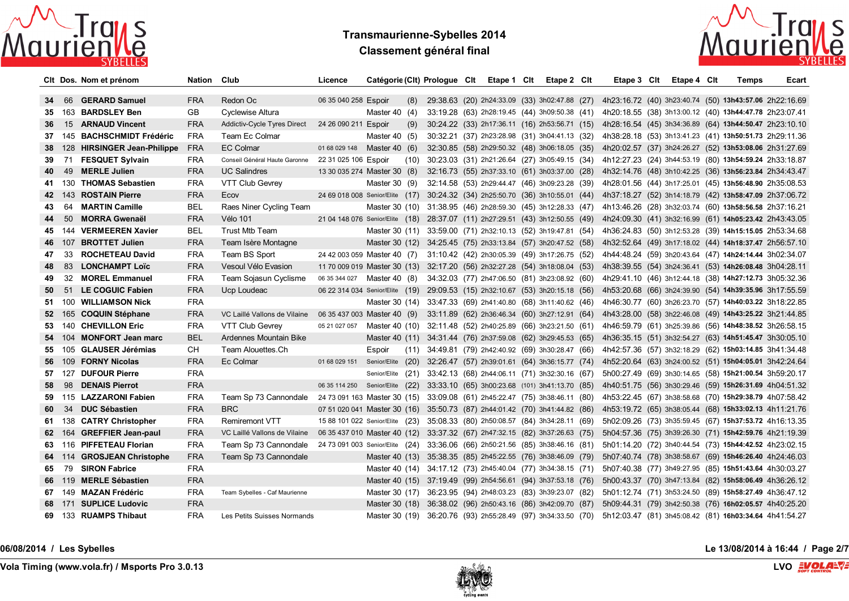

# **Transmaurienne-Sybelles 2014 Classement général final**



|    |        | CIt Dos. Nom et prénom         | Nation Club |                                                                                                  | Licence                                                                        | Catégorie (Clt) Prologue Clt |     |  | Etape 1 Clt | Etape 2 Cit                                                     | Etape 3 Clt                                            | Etape 4 Clt | Temps | Ecart |
|----|--------|--------------------------------|-------------|--------------------------------------------------------------------------------------------------|--------------------------------------------------------------------------------|------------------------------|-----|--|-------------|-----------------------------------------------------------------|--------------------------------------------------------|-------------|-------|-------|
| 34 |        | 66 GERARD Samuel               | <b>FRA</b>  | Redon Oc                                                                                         | 06 35 040 258 Espoir                                                           |                              | (8) |  |             | 29:38.63 (20) 2h24:33.09 (33) 3h02:47.88 (27)                   | 4h23:16.72 (40) 3h23:40.74 (50) 13h43:57.06 2h22:16.69 |             |       |       |
|    |        | 35 163 BARDSLEY Ben            | GB          | Cyclewise Altura                                                                                 |                                                                                | Master 40 $(4)$              |     |  |             | 33:19.28 (63) 2h28:19.45 (44) 3h09:50.38 (41)                   | 4h20:18.55 (38) 3h13:00.12 (40) 13h44:47.78 2h23:07.41 |             |       |       |
| 36 |        | 15 ARNAUD Vincent              | <b>FRA</b>  | Addictiv-Cycle Tyres Direct                                                                      | 24 26 090 211 Espoir                                                           |                              | (9) |  |             | 30:24.22 (33) 2h17:36.11 (16) 2h53:56.71 (15)                   | 4h28:16.54 (45) 3h34:36.89 (64) 13h44:50.47 2h23:10.10 |             |       |       |
|    |        | 37 145 BACHSCHMIDT Frédéric    | FRA         | Team Ec Colmar                                                                                   |                                                                                | Master 40 $(5)$              |     |  |             | 30:32.21 (37) 2h23:28.98 (31) 3h04:41.13 (32)                   | 4h38:28.18 (53) 3h13:41.23 (41) 13h50:51.73 2h29:11.36 |             |       |       |
|    |        | 38 128 HIRSINGER Jean-Philippe | <b>FRA</b>  | <b>EC Colmar</b>                                                                                 | 01 68 029 148                                                                  | Master 40 $(6)$              |     |  |             | 32:30.85 (58) 2h29:50.32 (48) 3h06:18.05 (35)                   | 4h20:02.57 (37) 3h24:26.27 (52) 13h53:08.06 2h31:27.69 |             |       |       |
| 39 |        | 71 FESQUET Sylvain             | <b>FRA</b>  | Conseil Général Haute Garonne                                                                    | 22 31 025 106 Espoir                                                           |                              |     |  |             | (10) 30:23.03 (31) 2h21:26.64 (27) 3h05:49.15 (34)              | 4h12:27.23 (24) 3h44:53.19 (80) 13h54:59.24 2h33:18.87 |             |       |       |
| 40 |        | 49 MERLE Julien                | <b>FRA</b>  | <b>UC Salindres</b>                                                                              | 13 30 035 274 Master 30 (8)                                                    |                              |     |  |             | 32:16.73 (55) 2h37:33.10 (61) 3h03:37.00 (28)                   | 4h32:14.76 (48) 3h10:42.25 (36) 13h56:23.84 2h34:43.47 |             |       |       |
|    |        | 41 130 THOMAS Sebastien        | <b>FRA</b>  | VTT Club Gevrey                                                                                  |                                                                                | Master $30(9)$               |     |  |             | 32:14.58 (53) 2h29:44.47 (46) 3h09:23.28 (39)                   | 4h28:01.56 (44) 3h17:25.01 (45) 13h56:48.90 2h35:08.53 |             |       |       |
|    |        | 42 143 ROSTAIN Pierre          | <b>FRA</b>  | Ecov                                                                                             | 24 69 018 008 Senior/Elite (17) 30:24.32 (34) 2h25:50.70 (36) 3h10:55.01 (44)  |                              |     |  |             |                                                                 | 4h37:18.27 (52) 3h14:18.79 (42) 13h58:47.09 2h37:06.72 |             |       |       |
| 43 |        | 64 MARTIN Camille              | <b>BEL</b>  | Raes Niner Cycling Team                                                                          |                                                                                |                              |     |  |             | Master 30 (10) 31:38.95 (46) 2h28:59.30 (45) 3h12:28.33 (47)    | 4h13:46.26 (28) 3h32:03.74 (60) 13h58:56.58 2h37:16.21 |             |       |       |
| 44 | 50     | <b>MORRA Gwenaël</b>           | <b>FRA</b>  | <b>Vélo 101</b>                                                                                  | 21 04 148 076 Senior/Elite (18) 28:37.07 (11) 2h27:29.51 (43) 3h12:50.55 (49)  |                              |     |  |             |                                                                 | 4h24:09.30 (41) 3h32:16.99 (61) 14h05:23.42 2h43:43.05 |             |       |       |
|    |        | 45 144 VERMEEREN Xavier        | <b>BEL</b>  | <b>Trust Mtb Team</b>                                                                            |                                                                                |                              |     |  |             | Master 30 (11) 33:59.00 (71) 2h32:10.13 (52) 3h19:47.81 (54)    | 4h36:24.83 (50) 3h12:53.28 (39) 14h15:15.05 2h53:34.68 |             |       |       |
|    |        | 46 107 BROTTET Julien          | <b>FRA</b>  | Team Isère Montagne                                                                              |                                                                                |                              |     |  |             | Master 30 (12) 34:25.45 (75) 2h33:13.84 (57) 3h20:47.52 (58)    | 4h32:52.64 (49) 3h17:18.02 (44) 14h18:37.47 2h56:57.10 |             |       |       |
| 47 | 33     | <b>ROCHETEAU David</b>         | FRA         | Team BS Sport                                                                                    | 24 42 003 059 Master 40 (7) 31:10.42 (42) 2h30:05.39 (49) 3h17:26.75 (52)      |                              |     |  |             |                                                                 | 4h44:48.24 (59) 3h20:43.64 (47) 14h24:14.44 3h02:34.07 |             |       |       |
| 48 |        | 83 LONCHAMPT Loïc              | <b>FRA</b>  | Vesoul Vélo Evasion                                                                              | 11 70 009 019 Master 30 (13) 32:17.20 (56) 2h32:27.28 (54) 3h18:08.04 (53)     |                              |     |  |             |                                                                 | 4h38:39.55 (54) 3h24:36.41 (53) 14h26:08.48 3h04:28.11 |             |       |       |
| 49 |        | 32 MOREL Emmanuel              | <b>FRA</b>  | Team Sojasun Cyclisme                                                                            | 06 35 344 027                                                                  | Master 40 (8)                |     |  |             | 34:32.03 (77) 2h47:06.50 (81) 3h23:08.92 (60)                   | 4h29:41.10 (46) 3h12:44.18 (38) 14h27:12.73 3h05:32.36 |             |       |       |
| 50 |        | 51 LE COGUIC Fabien            | <b>FRA</b>  | Ucp Loudeac                                                                                      | 06 22 314 034 Senior/Elite (19) 29:09.53 (15) 2h32:10.67 (53) 3h20:15.18 (56)  |                              |     |  |             |                                                                 | 4h53:20.68 (66) 3h24:39.90 (54) 14h39:35.96 3h17:55.59 |             |       |       |
|    |        | 51 100 WILLIAMSON Nick         | FRA         |                                                                                                  |                                                                                |                              |     |  |             | Master 30 (14) 33:47.33 (69) 2h41:40.80 (68) 3h11:40.62 (46)    | 4h46:30.77 (60) 3h26:23.70 (57) 14h40:03.22 3h18:22.85 |             |       |       |
|    |        | 52 165 COQUIN Stéphane         | <b>FRA</b>  | VC Laillé Vallons de Vilaine                                                                     | 06 35 437 003 Master 40 (9)                                                    |                              |     |  |             | 33:11.89 (62) 2h36:46.34 (60) 3h27:12.91 (64)                   | 4h43:28.00 (58) 3h22:46.08 (49) 14h43:25.22 3h21:44.85 |             |       |       |
|    |        | 53 140 CHEVILLON Eric          | <b>FRA</b>  | <b>VTT Club Gevrey</b>                                                                           | 05 21 027 057 Master 40 (10) 32:11.48 (52) 2h40:25.89 (66) 3h23:21.50 (61)     |                              |     |  |             |                                                                 | 4h46:59.79 (61) 3h25:39.86 (56) 14h48:38.52 3h26:58.15 |             |       |       |
|    |        | 54 104 MONFORT Jean marc       | <b>BEL</b>  | Ardennes Mountain Bike                                                                           |                                                                                |                              |     |  |             | Master 40 (11) 34:31.44 (76) 2h37:59.08 (62) 3h29:45.53 (65)    | 4h36:35.15 (51) 3h32:54.27 (63) 14h51:45.47 3h30:05.10 |             |       |       |
|    |        | 55 105 GLAUSER Jérémias        | CH          | Team Alouettes.Ch                                                                                |                                                                                | Espoir                       |     |  |             | $(11)$ 34:49.81 (79) 2h42:40.92 (69) 3h30:28.47 (66)            | 4h42:57.36 (57) 3h32:18.29 (62) 15h03:14.85 3h41:34.48 |             |       |       |
|    |        | 56 109 FORNY Nicolas           | <b>FRA</b>  | Ec Colmar                                                                                        | 01 68 029 151 Senior/Elite (20) 32:26.47 (57) 2h39:01.61 (64) 3h36:15.77 (74)  |                              |     |  |             |                                                                 | 4h52:20.64 (63) 3h24:00.52 (51) 15h04:05.01 3h42:24.64 |             |       |       |
|    |        | 57 127 DUFOUR Pierre           | <b>FRA</b>  |                                                                                                  |                                                                                |                              |     |  |             | Senior/Elite (21) 33:42.13 (68) 2h44:06.11 (71) 3h32:30.16 (67) | 5h00:27.49 (69) 3h30:14.65 (58) 15h21:00.54 3h59:20.17 |             |       |       |
| 58 |        | 98 <b>DENAIS Pierrot</b>       | <b>FRA</b>  |                                                                                                  | 06 35 114 250 Senior/Elite (22) 33:33.10 (65) 3h00:23.68 (101) 3h41:13.70 (85) |                              |     |  |             |                                                                 | 4h40:51.75 (56) 3h30:29.46 (59) 15h26:31.69 4h04:51.32 |             |       |       |
|    |        | 59 115 LAZZARONI Fabien        | <b>FRA</b>  | Team Sp 73 Cannondale 24 73 091 163 Master 30 (15) 33:09.08 (61) 2h45:22.47 (75) 3h38:46.11 (80) |                                                                                |                              |     |  |             |                                                                 | 4h53:22.45 (67) 3h38:58.68 (70) 15h29:38.79 4h07:58.42 |             |       |       |
| 60 |        | 34 DUC Sébastien               | <b>FRA</b>  | <b>BRC</b>                                                                                       | 07 51 020 041 Master 30 (16) 35:50.73 (87) 2h44:01.42 (70) 3h41:44.82 (86)     |                              |     |  |             |                                                                 | 4h53:19.72 (65) 3h38:05.44 (68) 15h33:02.13 4h11:21.76 |             |       |       |
|    |        | 61 138 CATRY Christopher       | <b>FRA</b>  | <b>Remiremont VTT</b>                                                                            | 15 88 101 022 Senior/Elite (23) 35:08.33 (80) 2h50:08.57 (84) 3h34:28.11 (69)  |                              |     |  |             |                                                                 | 5h02:09.26 (73) 3h35:59.45 (67) 15h37:53.72 4h16:13.35 |             |       |       |
|    | 62 164 | <b>GREFFIER Jean-paul</b>      | <b>FRA</b>  | VC Laillé Vallons de Vilaine                                                                     | 06 35 437 010 Master 40 (12) 33:37.32 (67) 2h47:32.15 (82) 3h37:26.63 (75)     |                              |     |  |             |                                                                 | 5h04:57.36 (75) 3h39:26.30 (71) 15h42:59.76 4h21:19.39 |             |       |       |
|    |        | 63 116 PIFFETEAU Florian       | <b>FRA</b>  | Team Sp 73 Cannondale                                                                            | 24 73 091 003 Senior/Elite (24) 33:36.06 (66) 2h50:21.56 (85) 3h38:46.16 (81)  |                              |     |  |             |                                                                 | 5h01:14.20 (72) 3h40:44.54 (73) 15h44:42.52 4h23:02.15 |             |       |       |
|    |        | 64 114 GROSJEAN Christophe     | <b>FRA</b>  | Team Sp 73 Cannondale                                                                            |                                                                                |                              |     |  |             | Master 40 (13) 35:38.35 (85) 2h45:22.55 (76) 3h38:46.09 (79)    | 5h07:40.74 (78) 3h38:58.67 (69) 15h46:26.40 4h24:46.03 |             |       |       |
|    |        | 65 79 SIRON Fabrice            | FRA         |                                                                                                  |                                                                                |                              |     |  |             | Master 40 (14) 34:17.12 (73) 2h45:40.04 (77) 3h34:38.15 (71)    | 5h07:40.38 (77) 3h49:27.95 (85) 15h51:43.64 4h30:03.27 |             |       |       |
|    |        | 66 119 MERLE Sébastien         | <b>FRA</b>  |                                                                                                  |                                                                                |                              |     |  |             | Master 40 (15) 37:19.49 (99) 2h54:56.61 (94) 3h37:53.18 (76)    | 5h00:43.37 (70) 3h47:13.84 (82) 15h58:06.49 4h36:26.12 |             |       |       |
|    |        | 67 149 MAZAN Frédéric          | FRA         | Team Sybelles - Caf Maurienne                                                                    |                                                                                |                              |     |  |             | Master 30 (17) 36:23.95 (94) 2h48:03.23 (83) 3h39:23.07 (82)    | 5h01:12.74 (71) 3h53:24.50 (89) 15h58:27.49 4h36:47.12 |             |       |       |
|    |        | 68 171 SUPLICE Ludovic         | <b>FRA</b>  |                                                                                                  |                                                                                |                              |     |  |             | Master 30 (18) 36:38.02 (96) 2h50:43.16 (86) 3h42:09.70 (87)    | 5h09:44.31 (79) 3h42:50.38 (76) 16h02:05.57 4h40:25.20 |             |       |       |
|    |        | 69 133 RUAMPS Thibaut          | <b>FRA</b>  | Les Petits Suisses Normands                                                                      |                                                                                |                              |     |  |             | Master 30 (19) 36:20.76 (93) 2h55:28.49 (97) 3h34:33.50 (70)    | 5h12:03.47 (81) 3h45:08.42 (81) 16h03:34.64 4h41:54.27 |             |       |       |

**06/08/2014 / Les Sybelles Le 13/08/2014 à 16:44 / Page 2/7**

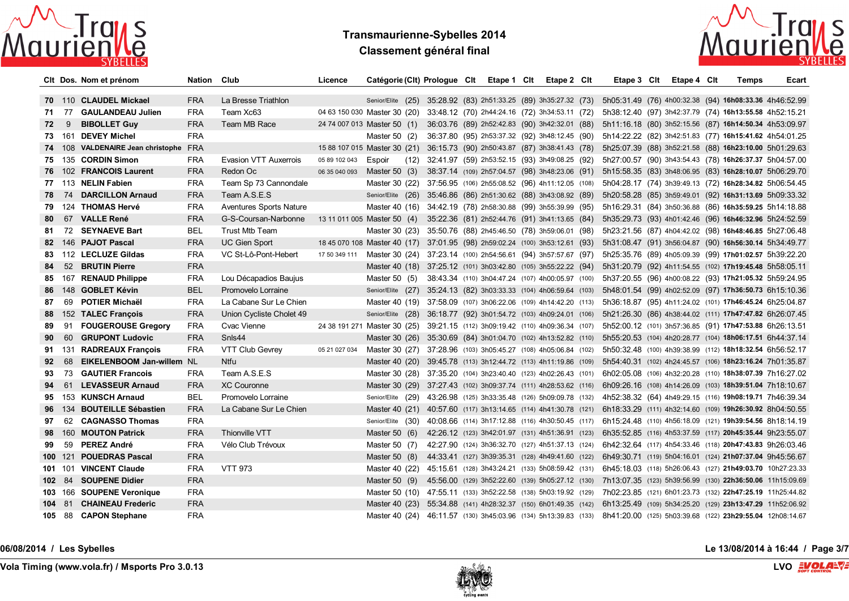

# **Transmaurienne-Sybelles 2014 Classement général final**



|     |        | CIt Dos. Nom et prénom            | Nation Club |                                | Licence       | Catégorie (Clt) Prologue Clt                                                  |  | Etape 1 Clt                                        | Etape 2 Cit | Etape 3 Clt                                               | Etape 4 Cit | <b>Temps</b> | Ecart |
|-----|--------|-----------------------------------|-------------|--------------------------------|---------------|-------------------------------------------------------------------------------|--|----------------------------------------------------|-------------|-----------------------------------------------------------|-------------|--------------|-------|
|     |        | 70 110 CLAUDEL Mickael            | <b>FRA</b>  | La Bresse Triathlon            |               | Senior/Elite (25) 35:28.92 (83) 2h51:33.25 (89) 3h35:27.32 (73)               |  |                                                    |             | 5h05:31.49 (76) 4h00:32.38 (94) 16h08:33.36 4h46:52.99    |             |              |       |
|     | 71 77  | <b>GAULANDEAU Julien</b>          | <b>FRA</b>  | Team Xc63                      |               | 04 63 150 030 Master 30 (20) 33:48.12 (70) 2h44:24.16 (72) 3h34:53.11 (72)    |  |                                                    |             | 5h38:12.40 (97) 3h42:37.79 (74) 16h13:55.58 4h52:15.21    |             |              |       |
|     | 72 9   | <b>BIBOLLET Guy</b>               | <b>FRA</b>  | Team MB Race                   |               | 24 74 007 013 Master 50 (1)                                                   |  | 36:03.76 (89) 2h52:42.83 (90) 3h42:32.01 (88)      |             | 5h11:16.18 (80) 3h52:15.56 (87) 16h14:50.34 4h53:09.97    |             |              |       |
|     |        | 73 161 DEVEY Michel               | <b>FRA</b>  |                                |               | Master 50 $(2)$                                                               |  | 36:37.80 (95) 2h53:37.32 (92) 3h48:12.45 (90)      |             | 5h14:22.22 (82) 3h42:51.83 (77) 16h15:41.62 4h54:01.25    |             |              |       |
|     |        | 74 108 VALDENAIRE Jean christophe | <b>FRA</b>  |                                |               | 15 88 107 015 Master 30 (21) 36:15.73 (90) 2h50:43.87 (87) 3h38:41.43 (78)    |  |                                                    |             | 5h25:07.39 (88) 3h52:21.58 (88) 16h23:10.00 5h01:29.63    |             |              |       |
|     |        | 75 135 CORDIN Simon               | <b>FRA</b>  | Evasion VTT Auxerrois          | 05 89 102 043 | Espoir                                                                        |  | (12) 32:41.97 (59) 2h53:52.15 (93) 3h49:08.25 (92) |             | 5h27:00.57 (90) 3h43:54.43 (78) 16h26:37.37 5h04:57.00    |             |              |       |
|     |        | 76 102 FRANCOIS Laurent           | <b>FRA</b>  | Redon Oc                       | 06 35 040 093 | Master 50 $(3)$                                                               |  | 38:37.14 (109) 2h57:04.57 (98) 3h48:23.06 (91)     |             | 5h15:58.35 (83) 3h48:06.95 (83) 16h28:10.07 5h06:29.70    |             |              |       |
|     |        | 77 113 NELIN Fabien               | <b>FRA</b>  | Team Sp 73 Cannondale          |               | Master 30 (22) 37:56.95 (106) 2h55:08.52 (96) 4h11:12.05 (108)                |  |                                                    |             | 5h04:28.17 (74) 3h39:49.13 (72) 16h28:34.82 5h06:54.45    |             |              |       |
| 78. | 74     | <b>DARCILLON Arnaud</b>           | <b>FRA</b>  | Team A.S.E.S                   |               | Senior/Elite (26) 35:46.86 (86) 2h51:30.62 (88) 3h43:08.92 (89)               |  |                                                    |             | 5h20:58.28 (85) 3h59:49.01 (92) 16h31:13.69 5h09:33.32    |             |              |       |
|     |        | 79 124 THOMAS Hervé               | <b>FRA</b>  | <b>Aventures Sports Nature</b> |               | Master 40 (16) 34:42.19 (78) 2h58:30.88 (99) 3h55:39.99 (95)                  |  |                                                    |             | 5h16:29.31 (84) 3h50:36.88 (86) 16h35:59.25 5h14:18.88    |             |              |       |
| 80. |        | 67 VALLE René                     | <b>FRA</b>  | G-S-Coursan-Narbonne           |               | 13 11 011 005 Master 50 (4)                                                   |  | 35:22.36 (81) 2h52:44.76 (91) 3h41:13.65 (84)      |             | 5h35:29.73 (93) 4h01:42.46 (96) 16h46:32.96 5h24:52.59    |             |              |       |
| 81. |        | 72 SEYNAEVE Bart                  | <b>BEL</b>  | <b>Trust Mtb Team</b>          |               | Master 30 (23) 35:50.76 (88) 2h45:46.50 (78) 3h59:06.01 (98)                  |  |                                                    |             | 5h23:21.56 (87) 4h04:42.02 (98) 16h48:46.85 5h27:06.48    |             |              |       |
|     |        | 82 146 PAJOT Pascal               | <b>FRA</b>  | <b>UC Gien Sport</b>           |               | 18 45 070 108 Master 40 (17) 37:01.95 (98) 2h59:02.24 (100) 3h53:12.61 (93)   |  |                                                    |             | 5h31:08.47 (91) 3h56:04.87 (90) 16h56:30.14 5h34:49.77    |             |              |       |
|     |        | 83 112 LECLUZE Gildas             | <b>FRA</b>  | VC St-Lô-Pont-Hebert           | 17 50 349 111 | Master 30 (24) 37:23.14 (100) 2h54:56.61 (94) 3h57:57.67 (97)                 |  |                                                    |             | 5h25:35.76 (89) 4h05:09.39 (99) 17h01:02.57 5h39:22.20    |             |              |       |
| 84  |        | 52 BRUTIN Pierre                  | <b>FRA</b>  |                                |               | Master 40 (18) 37:25.12 (101) 3h03:42.80 (105) 3h55:22.22 (94)                |  |                                                    |             | 5h31:20.79 (92) 4h11:54.55 (102) 17h19:45.48 5h58:05.11   |             |              |       |
| 85. |        | 167 RENAUD Philippe               | <b>FRA</b>  | Lou Décapadios Baujus          |               | Master 50 $(5)$                                                               |  | 38:43.34 (110) 3h04:47.24 (107) 4h00:05.97 (100)   |             | 5h37:20.55 (96) 4h00:08.22 (93) 17h21:05.32 5h59:24.95    |             |              |       |
| 86. |        | 148 GOBLET Kévin                  | <b>BEL</b>  | Promovelo Lorraine             |               | Senior/Elite (27)                                                             |  | 35:24.13 (82) 3h03:33.33 (104) 4h06:59.64 (103)    |             | 5h48:01.54 (99) 4h02:52.09 (97) 17h36:50.73 6h15:10.36    |             |              |       |
| 87  |        | 69 POTIER Michaël                 | <b>FRA</b>  | La Cabane Sur Le Chien         |               | Master 40 (19) 37:58.09 (107) 3h06:22.06 (109) 4h14:42.20 (113)               |  |                                                    |             | 5h36:18.87 (95) 4h11:24.02 (101) 17h46:45.24 6h25:04.87   |             |              |       |
|     |        | 88 152 TALEC François             | <b>FRA</b>  | Union Cycliste Cholet 49       |               | Senior/Elite (28)                                                             |  | 36:18.77 (92) 3h01:54.72 (103) 4h09:24.01 (106)    |             | 5h21:26.30 (86) 4h38:44.02 (111) 17h47:47.82 6h26:07.45   |             |              |       |
| 89  |        | 91 FOUGEROUSE Gregory             | <b>FRA</b>  | Cvac Vienne                    |               | 24 38 191 271 Master 30 (25) 39:21.15 (112) 3h09:19.42 (110) 4h09:36.34 (107) |  |                                                    |             | 5h52:00.12 (101) 3h57:36.85 (91) 17h47:53.88 6h26:13.51   |             |              |       |
| 90  |        | 60 GRUPONT Ludovic                | <b>FRA</b>  | Snls44                         |               | Master 30 (26) 35:30.69 (84) 3h01:04.70 (102) 4h13:52.82 (110)                |  |                                                    |             | 5h55:20.53 (104) 4h20:28.77 (104) 18h06:17.51 6h44:37.14  |             |              |       |
|     |        | 91 131 RADREAUX François          | <b>FRA</b>  | VTT Club Gevrey                | 05 21 027 034 | Master 30 (27) 37:28.96 (103) 3h05:45.27 (108) 4h05:06.84 (102)               |  |                                                    |             | 5h50:32.48 (100) 4h39:38.99 (112) 18h18:32.54 6h56:52.17  |             |              |       |
| 92. | 68     | EIKELENBOOM Jan-willem NL         |             | <b>Ntfu</b>                    |               | Master 40 (20)                                                                |  | 39:45.78 (113) 3h12:44.72 (113) 4h11:19.86 (109)   |             | 5h54:40.31 (102) 4h24:45.57 (106) 18h23:16.24 7h01:35.87  |             |              |       |
| 93  |        | 73 GAUTIER Francois               | <b>FRA</b>  | Team A.S.E.S                   |               | Master 30 (28) 37:35.20 (104) 3h23:40.40 (123) 4h02:26.43 (101)               |  |                                                    |             | 6h02:05.08 (106) 4h32:20.28 (110) 18h38:07.39 7h16:27.02  |             |              |       |
| 94  | 61     | <b>LEVASSEUR Arnaud</b>           | <b>FRA</b>  | <b>XC Couronne</b>             |               | Master 30 (29) 37:27.43 (102) 3h09:37.74 (111) 4h28:53.62 (116)               |  |                                                    |             | 6h09:26.16 (108) 4h14:26.09 (103) 18h39:51.04 7h18:10.67  |             |              |       |
|     |        | 95 153 KUNSCH Arnaud              | BEL         | Promovelo Lorraine             |               | Senior/Elite (29) 43:26.98 (125) 3h33:35.48 (126) 5h09:09.78 (132)            |  |                                                    |             | 4h52:38.32 (64) 4h49:29.15 (116) 19h08:19.71 7h46:39.34   |             |              |       |
| 96. |        | 134 BOUTEILLE Sébastien           | <b>FRA</b>  | La Cabane Sur Le Chien         |               | Master 40 (21) 40:57.60 (117) 3h13:14.65 (114) 4h41:30.78 (121)               |  |                                                    |             | 6h18:33.29 (111) 4h32:14.60 (109) 19h26:30.92 8h04:50.55  |             |              |       |
| 97  |        | 62 CAGNASSO Thomas                | <b>FRA</b>  |                                |               | Senior/Elite (30) 40:08.66 (114) 3h17:12.88 (116) 4h30:50.45 (117)            |  |                                                    |             | 6h15:24.48 (110) 4h56:18.09 (121) 19h39:54.56 8h18:14.19  |             |              |       |
|     |        | 98 160 MOUTON Patrick             | <b>FRA</b>  | Thionville VTT                 |               | Master 50 $(6)$                                                               |  | 42:26.12 (123) 3h42:01.97 (131) 4h51:36.91 (123)   |             | 6h35:52.85 (116) 4h53:37.59 (117) 20h45:35.44 9h23:55.07  |             |              |       |
| 99  |        | 59 PEREZ André                    | <b>FRA</b>  | Vélo Club Trévoux              |               | Master 50 $(7)$                                                               |  | 42:27.90 (124) 3h36:32.70 (127) 4h51:37.13 (124)   |             | 6h42:32.64 (117) 4h54:33.46 (118) 20h47:43.83 9h26:03.46  |             |              |       |
|     |        | 100 121 POUEDRAS Pascal           | <b>FRA</b>  |                                |               | Master 50 $(8)$                                                               |  | 44:33.41 (127) 3h39:35.31 (128) 4h49:41.60 (122)   |             | 6h49:30.71 (119) 5h04:16.01 (124) 21h07:37.04 9h45:56.67  |             |              |       |
|     |        | 101 101 VINCENT Claude            | <b>FRA</b>  | <b>VTT 973</b>                 |               | Master 40 (22) 45:15.61 (128) 3h43:24.21 (133) 5h08:59.42 (131)               |  |                                                    |             | 6h45:18.03 (118) 5h26:06.43 (127) 21h49:03.70 10h27:23.33 |             |              |       |
|     | 102 84 | <b>SOUPENE Didier</b>             | <b>FRA</b>  |                                |               | Master 50 $(9)$                                                               |  | 45:56.00 (129) 3h52:22.60 (139) 5h05:27.12 (130)   |             | 7h13:07.35 (123) 5h39:56.99 (130) 22h36:50.06 11h15:09.69 |             |              |       |
|     |        | 103 166 SOUPENE Veronique         | <b>FRA</b>  |                                |               | Master 50 (10) 47:55.11 (133) 3h52:22.58 (138) 5h03:19.92 (129)               |  |                                                    |             | 7h02:23.85 (121) 6h01:23.73 (132) 22h47:25.19 11h25:44.82 |             |              |       |
|     | 104 81 | <b>CHAINEAU Frederic</b>          | <b>FRA</b>  |                                |               | Master 40 (23)                                                                |  | 55:34.88 (141) 4h28:32.37 (150) 6h01:49.35 (142)   |             | 6h13:25.49 (109) 5h34:25.20 (129) 23h13:47.29 11h52:06.92 |             |              |       |
|     |        | 105 88 CAPON Stephane             | <b>FRA</b>  |                                |               | Master 40 (24) 46:11.57 (130) 3h45:03.96 (134) 5h13:39.83 (133)               |  |                                                    |             | 8h41:20.00 (125) 5h03:39.68 (122) 23h29:55.04 12h08:14.67 |             |              |       |

**06/08/2014 / Les Sybelles Le 13/08/2014 à 16:44 / Page 3/7**

**Vola Timing (www.vola.fr) / Msports Pro 3.0.13 LVO**

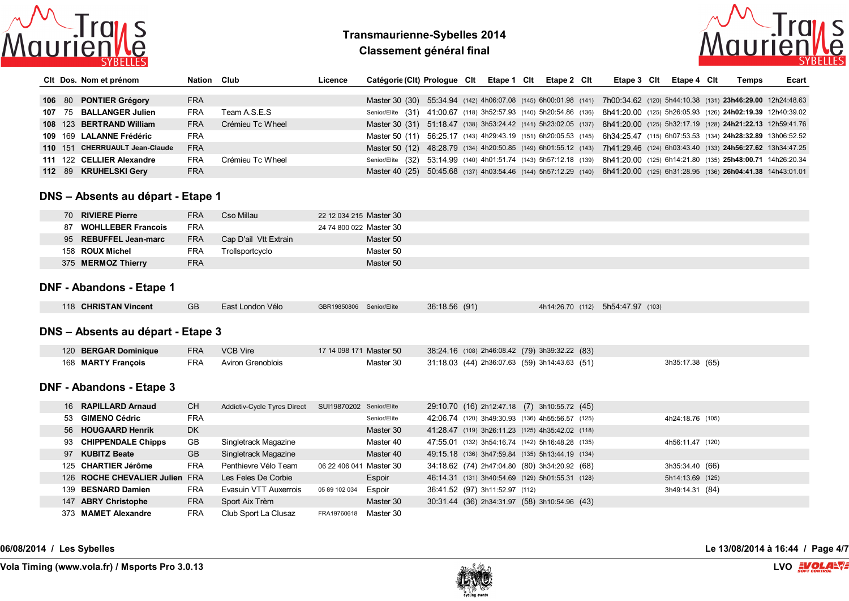

# **Transmaurienne-Sybelles 2014 Classement général final**



|  | CIt Dos. Nom et prénom         | Nation Club |                  | Licence | Catégorie (Clt) Prologue Clt Etape 1 Clt                                                                                     |  |  | Etape 2 Clt | Etape 3 CIt | Etape 4 Clt | Temps | Ecart |
|--|--------------------------------|-------------|------------------|---------|------------------------------------------------------------------------------------------------------------------------------|--|--|-------------|-------------|-------------|-------|-------|
|  |                                |             |                  |         |                                                                                                                              |  |  |             |             |             |       |       |
|  | 106 80 PONTIER Grégory         | <b>FRA</b>  |                  |         | Master 30 (30) 55:34.94 (142) 4h06:07.08 (145) 6h00:01.98 (141) 7h00:34.62 (120) 5h44:10.38 (131) 23h46:29.00 12h24:48.63    |  |  |             |             |             |       |       |
|  | 107 75 BALLANGER Julien        | FRA         | Team A.S.E.S     |         | Senior/Elite (31) 41:00.67 (118) 3h52:57.93 (140) 5h20:54.86 (136) 8h41:20.00 (125) 5h26:05.93 (126) 24h02:19.39 12h40:39.02 |  |  |             |             |             |       |       |
|  | 108 123 BERTRAND William       | <b>FRA</b>  | Crémieu Tc Wheel |         | Master 30 (31) 51:18.47 (138) 3h53:24.42 (141) 5h23:02.05 (137) 8h41:20.00 (125) 5h32:17.19 (128) 24h21:22.13 12h59:41.76    |  |  |             |             |             |       |       |
|  | 109 169 LALANNE Frédéric       | <b>FRA</b>  |                  |         | Master 50 (11) 56:25.17 (143) 4h29:43.19 (151) 6h20:05.53 (145) 6h34:25.47 (115) 6h07:53.53 (134) 24h28:32.89 13h06:52.52    |  |  |             |             |             |       |       |
|  | 110 151 CHERRUAULT Jean-Claude | <b>FRA</b>  |                  |         | Master 50 (12) 48:28.79 (134) 4h20:50.85 (149) 6h01:55.12 (143) 7h41:29.46 (124) 6h03:43.40 (133) 24h56:27.62 13h34:47.25    |  |  |             |             |             |       |       |
|  | 111 122 CELLIER Alexandre      | <b>FRA</b>  | Crémieu Tc Wheel |         | Senior/Elite (32) 53:14.99 (140) 4h01:51.74 (143) 5h57:12.18 (139) 8h41:20.00 (125) 6h14:21.80 (135) 25h48:00.71 14h26:20.34 |  |  |             |             |             |       |       |
|  | 112 89 KRUHELSKI Gery          | <b>FRA</b>  |                  |         | Master 40 (25) 50:45.68 (137) 4h03:54.46 (144) 5h57:12.29 (140) 8h41:20.00 (125) 6h31:28.95 (136) 26h04:41.38 14h43:01.01    |  |  |             |             |             |       |       |

#### **DNS – Absents au départ - Etape 1**

| 70 | <b>RIVIERE Pierre</b>     | <b>FRA</b> | Cso Millau            | 22 12 034 215 Master 30 |
|----|---------------------------|------------|-----------------------|-------------------------|
| 87 | <b>WOHLLEBER Francois</b> | <b>FRA</b> |                       | 24 74 800 022 Master 30 |
|    | 95 REBUFFEL Jean-marc     | <b>FRA</b> | Cap D'ail Vtt Extrain | Master 50               |
|    | 158 ROUX Michel           | <b>FRA</b> | Trollsportcyclo       | Master 50               |
|    | 375 MERMOZ Thierry        | <b>FRA</b> |                       | Master 50               |

## **DNF - Abandons - Etape 1**

| 118 CHRISTAN Vincent | <b>GB</b> | East London Vélo | GBR19850806 Senior/Elite | 36:18.56 (91) | 4h14:26.70 (112) 5h54:47.97 (103) |
|----------------------|-----------|------------------|--------------------------|---------------|-----------------------------------|
|                      |           |                  |                          |               |                                   |

#### **DNS – Absents au départ - Etape 3**

| 120 BERGAR Dominique | FRA VCB Vire          | 17 14 098 171 Master 50 | 38:24.16 (108) 2h46:08.42 (79) 3h39:32.22 (83) |                 |
|----------------------|-----------------------|-------------------------|------------------------------------------------|-----------------|
| 168 MARTY Francois   | FRA Aviron Grenoblois | Master 30               | 31:18.03 (44) 2h36:07.63 (59) 3h14:43.63 (51)  | 3h35:17.38 (65) |

## **DNF - Abandons - Etape 3**

| 16 RAPILLARD Arnaud            | CH.        | Addictiv-Cycle Tyres Direct | SUI19870202 Senior/Elite |              |                                | 29:10.70 (16) 2h12:47.18 (7) 3h10:55.72 (45)     |                  |
|--------------------------------|------------|-----------------------------|--------------------------|--------------|--------------------------------|--------------------------------------------------|------------------|
| 53 GIMENO Cédric               | <b>FRA</b> |                             |                          | Senior/Elite |                                | 42:06.74 (120) 3h49:30.93 (136) 4h55:56.57 (125) | 4h24:18.76 (105) |
| 56 HOUGAARD Henrik             | DK.        |                             |                          | Master 30    |                                | 41:28.47 (119) 3h26:11.23 (125) 4h35:42.02 (118) |                  |
| 93 CHIPPENDALE Chipps          | GB         | Singletrack Magazine        |                          | Master 40    |                                | 47:55.01 (132) 3h54:16.74 (142) 5h16:48.28 (135) | 4h56:11.47 (120) |
| 97 KUBITZ Beate                | <b>GB</b>  | Singletrack Magazine        |                          | Master 40    |                                | 49:15.18 (136) 3h47:59.84 (135) 5h13:44.19 (134) |                  |
| 125 CHARTIER Jérôme            | <b>FRA</b> | Penthievre Vélo Team        | 06 22 406 041 Master 30  |              |                                | 34:18.62 (74) 2h47:04.80 (80) 3h34:20.92 (68)    | 3h35:34.40 (66)  |
| 126 ROCHE CHEVALIER Julien FRA |            | Les Feles De Corbie         |                          | Espoir       |                                | 46:14.31 (131) 3h40:54.69 (129) 5h01:55.31 (128) | 5h14:13.69 (125) |
| 139 BESNARD Damien             | <b>FRA</b> | Evasuin VTT Auxerrois       | 05 89 102 034            | Espoir       | 36:41.52 (97) 3h11:52.97 (112) |                                                  | 3h49:14.31 (84)  |
| 147 ABRY Christophe            | <b>FRA</b> | Sport Aix Trèm              |                          | Master 30    |                                | 30:31.44 (36) 2h34:31.97 (58) 3h10:54.96 (43)    |                  |
| 373 MAMET Alexandre            | <b>FRA</b> | Club Sport La Clusaz        | FRA19760618              | Master 30    |                                |                                                  |                  |

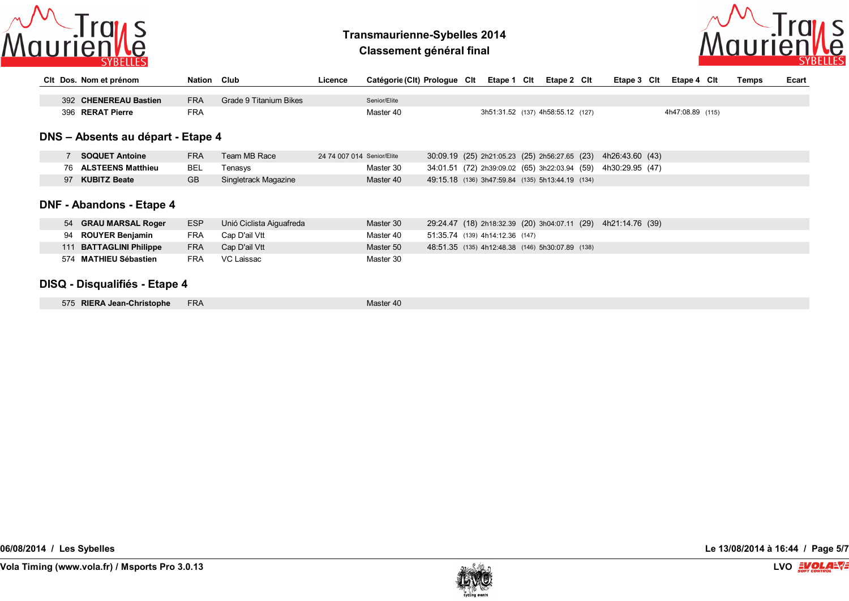

**Classement général final**



|             | CIt Dos. Nom et prénom            | Nation Club |                          | Licence                    | Catégorie (Clt) Prologue Clt Etape 1 Clt |  |                                 | Etape 2 Clt                                      | Etape 3 Clt                                                   | Etape 4 Clt      | Temps | Ecart |
|-------------|-----------------------------------|-------------|--------------------------|----------------------------|------------------------------------------|--|---------------------------------|--------------------------------------------------|---------------------------------------------------------------|------------------|-------|-------|
|             |                                   |             |                          |                            |                                          |  |                                 |                                                  |                                                               |                  |       |       |
|             | 392 CHENEREAU Bastien             | <b>FRA</b>  | Grade 9 Titanium Bikes   |                            | Senior/Elite                             |  |                                 |                                                  |                                                               |                  |       |       |
|             | 396 RERAT Pierre                  | <b>FRA</b>  |                          |                            | Master 40                                |  |                                 | 3h51:31.52 (137) 4h58:55.12 (127)                |                                                               | 4h47:08.89 (115) |       |       |
|             |                                   |             |                          |                            |                                          |  |                                 |                                                  |                                                               |                  |       |       |
|             | DNS - Absents au départ - Etape 4 |             |                          |                            |                                          |  |                                 |                                                  |                                                               |                  |       |       |
| $7^{\circ}$ | <b>SOQUET Antoine</b>             | <b>FRA</b>  | Team MB Race             | 24 74 007 014 Senior/Elite |                                          |  |                                 | 30:09.19 (25) 2h21:05.23 (25) 2h56:27.65 (23)    | 4h26:43.60 (43)                                               |                  |       |       |
|             | 76 ALSTEENS Matthieu              | <b>BEL</b>  | Tenasys                  |                            | Master 30                                |  |                                 | 34:01.51 (72) 2h39:09.02 (65) 3h22:03.94 (59)    | 4h30:29.95 (47)                                               |                  |       |       |
|             | 97 KUBITZ Beate                   | <b>GB</b>   | Singletrack Magazine     |                            | Master 40                                |  |                                 | 49:15.18 (136) 3h47:59.84 (135) 5h13:44.19 (134) |                                                               |                  |       |       |
|             |                                   |             |                          |                            |                                          |  |                                 |                                                  |                                                               |                  |       |       |
|             | <b>DNF - Abandons - Etape 4</b>   |             |                          |                            |                                          |  |                                 |                                                  |                                                               |                  |       |       |
|             | 54 GRAU MARSAL Roger              | <b>ESP</b>  | Unió Ciclista Aiguafreda |                            | Master 30                                |  |                                 |                                                  | 29:24.47 (18) 2h18:32.39 (20) 3h04:07.11 (29) 4h21:14.76 (39) |                  |       |       |
|             | 94 ROUYER Benjamin                | FRA         | Cap D'ail Vtt            |                            | Master 40                                |  | 51:35.74 (139) 4h14:12.36 (147) |                                                  |                                                               |                  |       |       |
|             | 111 BATTAGLINI Philippe           | <b>FRA</b>  | Cap D'ail Vtt            |                            | Master 50                                |  |                                 | 48:51.35 (135) 4h12:48.38 (146) 5h30:07.89 (138) |                                                               |                  |       |       |
|             | 574 MATHIEU Sébastien             | <b>FRA</b>  | VC Laissac               |                            | Master 30                                |  |                                 |                                                  |                                                               |                  |       |       |
|             |                                   |             |                          |                            |                                          |  |                                 |                                                  |                                                               |                  |       |       |

#### **DISQ - Disqualifiés - Etape 4**

| 575 RIERA Jean-Christophe FRA |  | Master 40 |
|-------------------------------|--|-----------|
|-------------------------------|--|-----------|

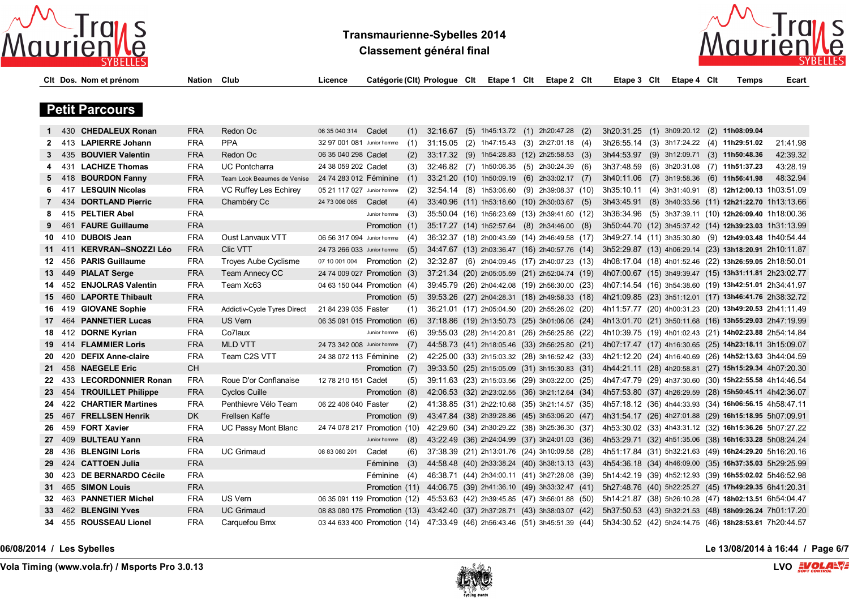

**Classement général final**



|     |     | Cit Dos. Nom et prénom   | <b>Nation Club</b> |                                    | Licence                                                                    | Catégorie (Clt) Prologue Clt |     |          |  | Etape 1 Cit Etape 2 Cit                       | Etape 3 Clt                                            | Etape 4 Clt | Temps                                                  | Ecart    |
|-----|-----|--------------------------|--------------------|------------------------------------|----------------------------------------------------------------------------|------------------------------|-----|----------|--|-----------------------------------------------|--------------------------------------------------------|-------------|--------------------------------------------------------|----------|
|     |     |                          |                    |                                    |                                                                            |                              |     |          |  |                                               |                                                        |             |                                                        |          |
|     |     | <b>Petit Parcours</b>    |                    |                                    |                                                                            |                              |     |          |  |                                               |                                                        |             |                                                        |          |
|     |     |                          |                    |                                    |                                                                            |                              |     |          |  |                                               |                                                        |             |                                                        |          |
|     |     | 430 CHEDALEUX Ronan      | <b>FRA</b>         | Redon Oc                           | 06 35 040 314                                                              | Cadet                        | (1) | 32:16.67 |  | (5) 1h45:13.72 (1) 2h20:47.28 (2)             | 3h20:31.25 (1) 3h09:20.12 (2) 11h08:09.04              |             |                                                        |          |
| 2   |     | 413 LAPIERRE Johann      | FRA                | <b>PPA</b>                         | 32 97 001 081 Junior homme                                                 |                              | (1) |          |  | 31:15.05 (2) 1h47:15.43 (3) 2h27:01.18 (4)    | 3h26:55.14 (3) 3h17:24.22 (4) 11h29:51.02              |             |                                                        | 21:41.98 |
| 3   |     | 435 BOUVIER Valentin     | <b>FRA</b>         | Redon Oc                           | 06 35 040 298 Cadet                                                        |                              | (2) |          |  | 33:17.32 (9) 1h54:28.83 (12) 2h25:58.53 (3)   | 3h44:53.97 (9) 3h12:09.71 (3) 11h50:48.36              |             |                                                        | 42:39.32 |
| 4   |     | 431 LACHIZE Thomas       | <b>FRA</b>         | <b>UC Pontcharra</b>               | 24 38 059 202 Cadet                                                        |                              | (3) |          |  | 32:46.82 (7) 1h50:06.35 (5) 2h30:24.39 (6)    | 3h37:48.59 (6) 3h20:31.08 (7) 11h51:37.23              |             |                                                        | 43:28.19 |
| 5   |     | 418 BOURDON Fanny        | <b>FRA</b>         | Team Look Beaumes de Venise        | 24 74 283 012 Féminine                                                     |                              | (1) |          |  | 33:21.20 (10) 1h50:09.19 (6) 2h33:02.17 (7)   | 3h40:11.06 (7) 3h19:58.36 (6) 11h56:41.98              |             |                                                        | 48:32.94 |
| 6   |     | 417 LESQUIN Nicolas      | FRA                | VC Ruffey Les Echirey              | 05 21 117 027 Junior homme                                                 |                              | (2) |          |  | 32:54.14 (8) 1h53:06.60 (9) 2h39:08.37 (10)   | 3h35:10.11 (4) 3h31:40.91                              |             | (8) 12h12:00.13 1h03:51.09                             |          |
| 7   |     | 434 DORTLAND Pierric     | <b>FRA</b>         | Chambéry Cc                        | 24 73 006 065                                                              | Cadet                        | (4) |          |  | 33:40.96 (11) 1h53:18.60 (10) 2h30:03.67 (5)  | 3h43:45.91 (8) 3h40:33.56 (11) 12h21:22.70 1h13:13.66  |             |                                                        |          |
| 8   |     | 415 PELTIER Abel         | FRA                |                                    |                                                                            | Junior homme                 | (3) |          |  | 35:50.04 (16) 1h56:23.69 (13) 2h39:41.60 (12) |                                                        |             | 3h36:34.96 (5) 3h37:39.11 (10) 12h26:09.40 1h18:00.36  |          |
| 9   |     | 461 FAURE Guillaume      | <b>FRA</b>         |                                    |                                                                            | Promotion (1)                |     |          |  | 35:17.27 (14) 1h52:57.64 (8) 2h34:46.00 (8)   |                                                        |             | 3h50:44.70 (12) 3h45:37.42 (14) 12h39:23.03 1h31:13.99 |          |
| 10  |     | 410 DUBOIS Jean          | FRA                | Oust Lanvaux VTT                   | 06 56 317 094 Junior homme (4)                                             |                              |     |          |  | 36:32.37 (18) 2h00:43.59 (14) 2h46:49.58 (17) | 3h49:27.14 (11) 3h35:30.80 (9) 12h49:03.48 1h40:54.44  |             |                                                        |          |
| 11  |     | 411 KERVRAN--SNOZZI Léo  | <b>FRA</b>         | <b>Clic VTT</b>                    | 24 73 266 033 Junior homme (5)                                             |                              |     |          |  | 34:47.67 (13) 2h03:36.47 (16) 2h40:57.76 (14) | 3h52:29.87 (13) 4h06:29.14 (23) 13h18:20.91 2h10:11.87 |             |                                                        |          |
| 12  |     | 456 PARIS Guillaume      | FRA                | Troyes Aube Cyclisme               | 07 10 001 004 Promotion (2)                                                |                              |     |          |  | 32:32.87 (6) 2h04:09.45 (17) 2h40:07.23 (13)  | 4h08:17.04 (18) 4h01:52.46 (22) 13h26:59.05 2h18:50.01 |             |                                                        |          |
| 13  |     | 449 PIALAT Serge         | <b>FRA</b>         | Team Annecy CC                     | 24 74 009 027 Promotion (3)                                                |                              |     |          |  | 37:21.34 (20) 2h05:05.59 (21) 2h52:04.74 (19) | 4h07:00.67 (15) 3h49:39.47 (15) 13h31:11.81 2h23:02.77 |             |                                                        |          |
| 14  |     | 452 ENJOLRAS Valentin    | <b>FRA</b>         | Team Xc63                          | 04 63 150 044 Promotion (4)                                                |                              |     |          |  | 39:45.79 (26) 2h04:42.08 (19) 2h56:30.00 (23) | 4h07:14.54 (16) 3h54:38.60 (19) 13h42:51.01 2h34:41.97 |             |                                                        |          |
| 15  |     | 460 LAPORTE Thibault     | <b>FRA</b>         |                                    |                                                                            | Promotion (5)                |     |          |  | 39:53.26 (27) 2h04:28.31 (18) 2h49:58.33 (18) | 4h21:09.85 (23) 3h51:12.01 (17) 13h46:41.76 2h38:32.72 |             |                                                        |          |
| 16  |     | 419 GIOVANE Sophie       | FRA                | <b>Addictiv-Cycle Tyres Direct</b> | 21 84 239 035 Faster                                                       |                              | (1) |          |  | 36:21.01 (17) 2h05:04.50 (20) 2h55:26.02 (20) | 4h11:57.77 (20) 4h00:31.23 (20) 13h49:20.53 2h41:11.49 |             |                                                        |          |
| 17  | 464 | <b>PANNETIER Lucas</b>   | <b>FRA</b>         | US Vern                            | 06 35 091 015 Promotion (6)                                                |                              |     |          |  | 37:18.86 (19) 2h13:50.73 (25) 3h01:06.06 (24) | 4h13:01.70 (21) 3h50:11.68 (16) 13h55:29.03 2h47:19.99 |             |                                                        |          |
| 18  |     | 412 DORNE Kyrian         | <b>FRA</b>         | Co7laux                            |                                                                            | Junior homme                 | (6) |          |  | 39:55.03 (28) 2h14:20.81 (26) 2h56:25.86 (22) |                                                        |             | 4h10:39.75 (19) 4h01:02.43 (21) 14h02:23.88 2h54:14.84 |          |
| 19  |     | 414 FLAMMIER Loris       | <b>FRA</b>         | <b>MLD VTT</b>                     | 24 73 342 008 Junior homme                                                 |                              | (7) |          |  | 44:58.73 (41) 2h18:05.46 (33) 2h56:25.80 (21) | 4h07:17.47 (17) 4h16:30.65 (25) 14h23:18.11 3h15:09.07 |             |                                                        |          |
| 20  | 420 | <b>DEFIX Anne-claire</b> | <b>FRA</b>         | Team C2S VTT                       | 24 38 072 113 Féminine                                                     |                              | (2) |          |  | 42:25.00 (33) 2h15:03.32 (28) 3h16:52.42 (33) | 4h21:12.20 (24) 4h16:40.69 (26) 14h52:13.63 3h44:04.59 |             |                                                        |          |
| 21  |     | 458 NAEGELE Eric         | <b>CH</b>          |                                    |                                                                            | Promotion (7)                |     |          |  | 39:33.50 (25) 2h15:05.09 (31) 3h15:30.83 (31) | 4h44:21.11 (28) 4h20:58.81 (27) 15h15:29.34 4h07:20.30 |             |                                                        |          |
| 22  |     | 433 LECORDONNIER Ronan   | FRA                | Roue D'or Conflanaise              | 12 78 210 151 Cadet                                                        |                              | (5) |          |  | 39:11.63 (23) 2h15:03.56 (29) 3h03:22.00 (25) | 4h47:47.79 (29) 4h37:30.60 (30) 15h22:55.58 4h14:46.54 |             |                                                        |          |
| 23  |     | 454 TROUILLET Philippe   | <b>FRA</b>         | Cyclos Cuille                      |                                                                            | Promotion (8)                |     |          |  | 42:06.53 (32) 2h23:02.55 (36) 3h21:12.64 (34) | 4h57:53.80 (37) 4h26:29.59 (28) 15h50:45.11 4h42:36.07 |             |                                                        |          |
| 24. |     | 422 CHARTIER Martines    | <b>FRA</b>         | Penthievre Vélo Team               | 06 22 406 040 Faster                                                       |                              | (2) |          |  | 41:38.85 (31) 2h22:10.68 (35) 3h21:14.57 (35) | 4h57:18.12 (36) 4h44:33.93 (34) 16h06:56.15 4h58:47.11 |             |                                                        |          |
|     |     | 467 FRELLSEN Henrik      | DK.                | Frellsen Kaffe                     |                                                                            | Promotion (9)                |     |          |  | 43:47.84 (38) 2h39:28.86 (45) 3h53:06.20 (47) | 4h31:54.17 (26) 4h27:01.88 (29) 16h15:18.95 5h07:09.91 |             |                                                        |          |
| 26  |     | 459 FORT Xavier          | <b>FRA</b>         | UC Passy Mont Blanc                | 24 74 078 217 Promotion (10)                                               |                              |     |          |  | 42:29.60 (34) 2h30:29.22 (38) 3h25:36.30 (37) | 4h53:30.02 (33) 4h43:31.12 (32) 16h15:36.26 5h07:27.22 |             |                                                        |          |
| 27  |     | 409 BULTEAU Yann         | <b>FRA</b>         |                                    |                                                                            | Junior homme                 | (8) |          |  | 43:22.49 (36) 2h24:04.99 (37) 3h24:01.03 (36) | 4h53:29.71 (32) 4h51:35.06 (38) 16h16:33.28 5h08:24.24 |             |                                                        |          |
| 28  |     | 436 BLENGINI Loris       | FRA                | <b>UC Grimaud</b>                  | 08 83 080 201                                                              | Cadet                        | (6) |          |  | 37:38.39 (21) 2h13:01.76 (24) 3h10:09.58 (28) | 4h51:17.84 (31) 5h32:21.63 (49) 16h24:29.20 5h16:20.16 |             |                                                        |          |
| 29  |     | 424 CATTOEN Julia        | <b>FRA</b>         |                                    |                                                                            | Féminine (3)                 |     |          |  | 44:58.48 (40) 2h33:38.24 (40) 3h38:13.13 (43) | 4h54:36.18 (34) 4h46:09.00 (35) 16h37:35.03 5h29:25.99 |             |                                                        |          |
| 30  |     | 423 DE BERNARDO Cécile   | <b>FRA</b>         |                                    |                                                                            | Féminine (4)                 |     |          |  | 46:38.71 (44) 2h34:00.11 (41) 3h27:28.08 (39) | 5h14:42.19 (39) 4h52:12.93 (39) 16h55:02.02 5h46:52.98 |             |                                                        |          |
| 31  |     | 465 SIMON Louis          | <b>FRA</b>         |                                    |                                                                            | Promotion (11)               |     |          |  | 44:06.75 (39) 2h41:36.10 (49) 3h33:32.47 (41) |                                                        |             | 5h27:48.76 (40) 5h22:25.27 (45) 17h49:29.35 6h41:20.31 |          |
| 32  |     | 463 PANNETIER Michel     | <b>FRA</b>         | US Vern                            | 06 35 091 119 Promotion (12)                                               |                              |     |          |  | 45:53.63 (42) 2h39:45.85 (47) 3h56:01.88 (50) | 5h14:21.87 (38) 5h26:10.28 (47) 18h02:13.51 6h54:04.47 |             |                                                        |          |
| 33  |     | 462 BLENGINI Yves        | <b>FRA</b>         | <b>UC Grimaud</b>                  | 08 83 080 175 Promotion (13)                                               |                              |     |          |  | 43:42.40 (37) 2h37:28.71 (43) 3h38:03.07 (42) | 5h37:50.53 (43) 5h32:21.53 (48) 18h09:26.24 7h01:17.20 |             |                                                        |          |
| 34  |     | 455 ROUSSEAU Lionel      | FRA                | Carquefou Bmx                      | 03 44 633 400 Promotion (14) 47:33.49 (46) 2h56:43.46 (51) 3h45:51.39 (44) |                              |     |          |  |                                               | 5h34:30.52 (42) 5h24:14.75 (46) 18h28:53.61 7h20:44.57 |             |                                                        |          |

**06/08/2014 / Les Sybelles Le 13/08/2014 à 16:44 / Page 6/7**